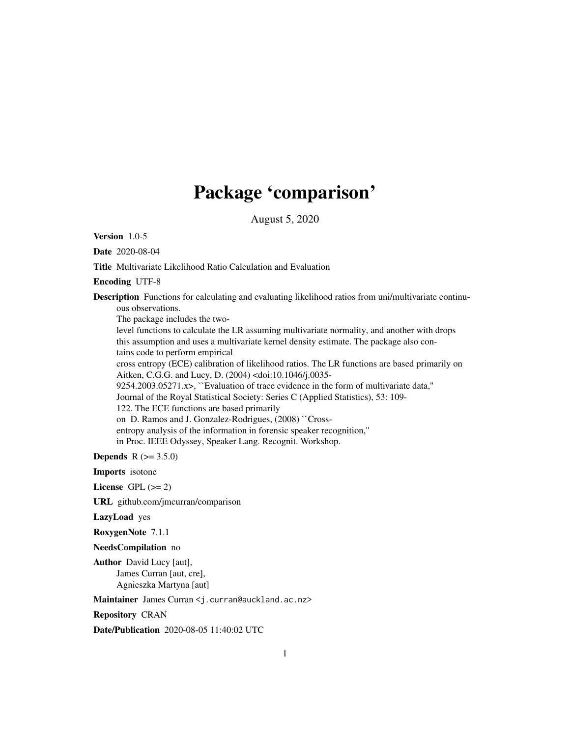## Package 'comparison'

August 5, 2020

<span id="page-0-0"></span>Version 1.0-5

Date 2020-08-04

Title Multivariate Likelihood Ratio Calculation and Evaluation

Encoding UTF-8

Description Functions for calculating and evaluating likelihood ratios from uni/multivariate continuous observations.

The package includes the two-

level functions to calculate the LR assuming multivariate normality, and another with drops this assumption and uses a multivariate kernel density estimate. The package also contains code to perform empirical

cross entropy (ECE) calibration of likelihood ratios. The LR functions are based primarily on Aitken, C.G.G. and Lucy, D. (2004) <doi:10.1046/j.0035-

 $9254.2003.05271.x$ ,  $\sum$  Evaluation of trace evidence in the form of multivariate data,"

Journal of the Royal Statistical Society: Series C (Applied Statistics), 53: 109-

122. The ECE functions are based primarily

on D. Ramos and J. Gonzalez-Rodrigues, (2008) ``Cross-

entropy analysis of the information in forensic speaker recognition,''

in Proc. IEEE Odyssey, Speaker Lang. Recognit. Workshop.

**Depends** R  $(>= 3.5.0)$ 

Imports isotone

License GPL  $(>= 2)$ 

URL github.com/jmcurran/comparison

LazyLoad yes

RoxygenNote 7.1.1

NeedsCompilation no

Author David Lucy [aut], James Curran [aut, cre], Agnieszka Martyna [aut]

Maintainer James Curran <j.curran@auckland.ac.nz>

Repository CRAN

Date/Publication 2020-08-05 11:40:02 UTC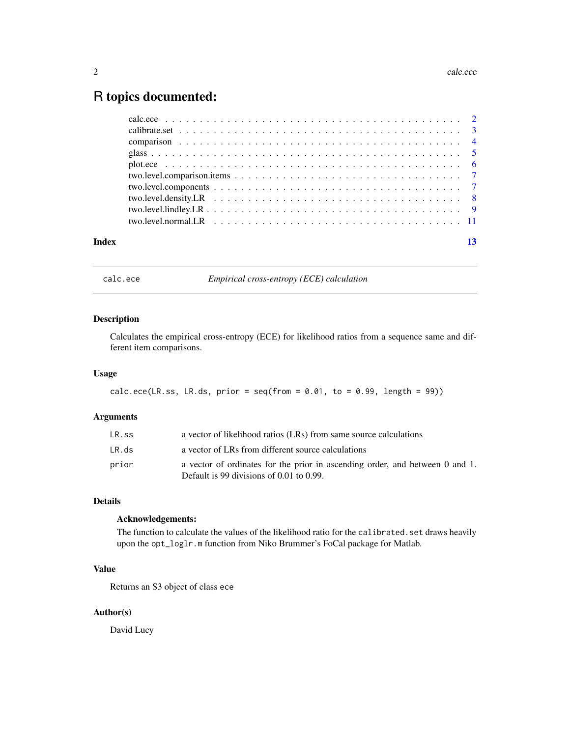### <span id="page-1-0"></span>R topics documented:

|       | two.level.normal.LR $\ldots$ , $\ldots$ , $\ldots$ , $\ldots$ , $\ldots$ , $\ldots$ , $\ldots$ , $\ldots$ , $\ldots$ , $\ldots$ , $\ldots$ |
|-------|--------------------------------------------------------------------------------------------------------------------------------------------|
|       |                                                                                                                                            |
| Index |                                                                                                                                            |

<span id="page-1-1"></span>calc.ece *Empirical cross-entropy (ECE) calculation*

#### Description

Calculates the empirical cross-entropy (ECE) for likelihood ratios from a sequence same and different item comparisons.

#### Usage

```
calc.ece(LR.ss, LR.ds, prior = seq(from = 0.01, to = 0.99, length = 99))
```
#### Arguments

| LR.ss | a vector of likelihood ratios (LRs) from same source calculations                                                             |
|-------|-------------------------------------------------------------------------------------------------------------------------------|
| LR.ds | a vector of LRs from different source calculations                                                                            |
| prior | a vector of ordinates for the prior in ascending order, and between 0 and 1.<br>Default is 99 divisions of $0.01$ to $0.99$ . |

#### Details

#### Acknowledgements:

The function to calculate the values of the likelihood ratio for the calibrated. set draws heavily upon the opt\_loglr.m function from Niko Brummer's FoCal package for Matlab.

#### Value

Returns an S3 object of class ece

#### Author(s)

David Lucy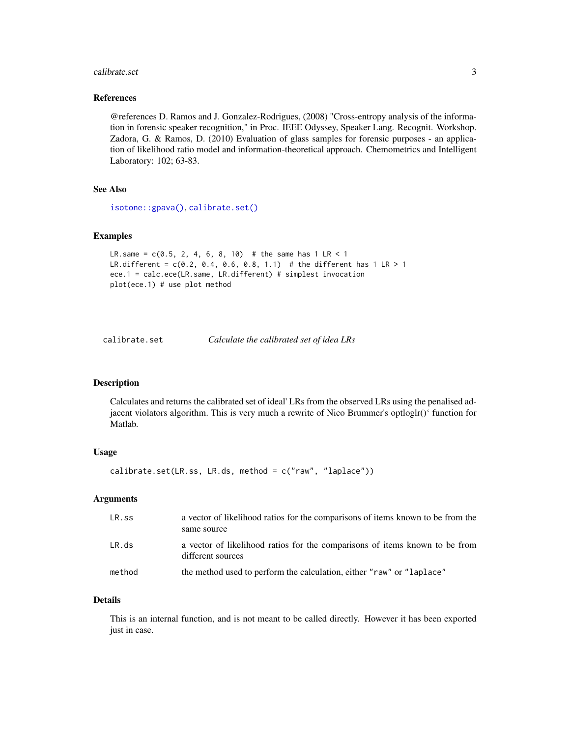#### <span id="page-2-0"></span>calibrate.set 3

#### References

@references D. Ramos and J. Gonzalez-Rodrigues, (2008) "Cross-entropy analysis of the information in forensic speaker recognition," in Proc. IEEE Odyssey, Speaker Lang. Recognit. Workshop. Zadora, G. & Ramos, D. (2010) Evaluation of glass samples for forensic purposes - an application of likelihood ratio model and information-theoretical approach. Chemometrics and Intelligent Laboratory: 102; 63-83.

#### See Also

[isotone::gpava\(\)](#page-0-0), [calibrate.set\(\)](#page-2-1)

#### Examples

```
LR.same = c(0.5, 2, 4, 6, 8, 10) # the same has 1 LR < 1
LR.different = c(0.2, 0.4, 0.6, 0.8, 1.1) # the different has 1 LR > 1
ece.1 = calc.ece(LR.same, LR.different) # simplest invocation
plot(ece.1) # use plot method
```
<span id="page-2-1"></span>calibrate.set *Calculate the calibrated set of idea LRs*

#### **Description**

Calculates and returns the calibrated set of ideal' LRs from the observed LRs using the penalised adjacent violators algorithm. This is very much a rewrite of Nico Brummer's optloglr()' function for Matlab.

#### Usage

```
calibrate.set(LR.ss, LR.ds, method = c("raw", "laplace"))
```
#### Arguments

| LR.ss  | a vector of likelihood ratios for the comparisons of items known to be from the<br>same source   |
|--------|--------------------------------------------------------------------------------------------------|
| LR.ds  | a vector of likelihood ratios for the comparisons of items known to be from<br>different sources |
| method | the method used to perform the calculation, either "raw" or "laplace"                            |

#### Details

This is an internal function, and is not meant to be called directly. However it has been exported just in case.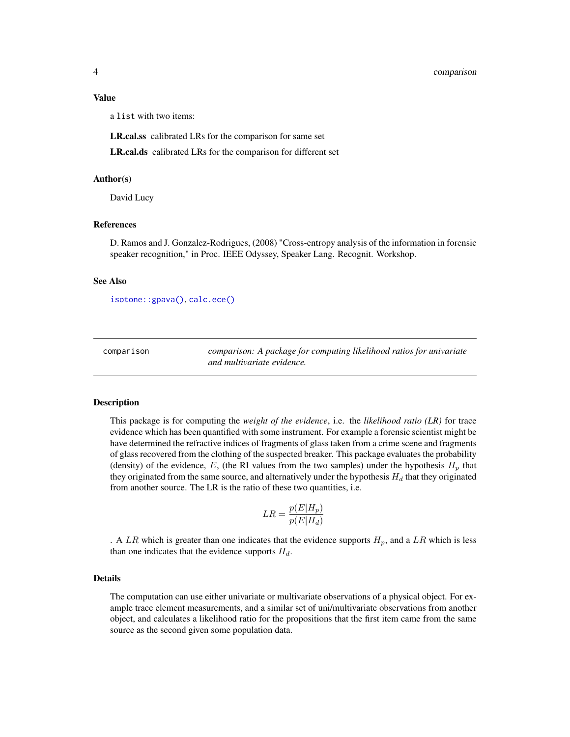#### <span id="page-3-0"></span>Value

a list with two items:

LR.cal.ss calibrated LRs for the comparison for same set

LR.cal.ds calibrated LRs for the comparison for different set

#### Author(s)

David Lucy

#### References

D. Ramos and J. Gonzalez-Rodrigues, (2008) "Cross-entropy analysis of the information in forensic speaker recognition," in Proc. IEEE Odyssey, Speaker Lang. Recognit. Workshop.

#### See Also

[isotone::gpava\(\)](#page-0-0), [calc.ece\(\)](#page-1-1)

comparison *comparison: A package for computing likelihood ratios for univariate and multivariate evidence.*

#### Description

This package is for computing the *weight of the evidence*, i.e. the *likelihood ratio (LR)* for trace evidence which has been quantified with some instrument. For example a forensic scientist might be have determined the refractive indices of fragments of glass taken from a crime scene and fragments of glass recovered from the clothing of the suspected breaker. This package evaluates the probability (density) of the evidence,  $E$ , (the RI values from the two samples) under the hypothesis  $H_p$  that they originated from the same source, and alternatively under the hypothesis  $H_d$  that they originated from another source. The LR is the ratio of these two quantities, i.e.

$$
LR = \frac{p(E|H_p)}{p(E|H_d)}
$$

. A LR which is greater than one indicates that the evidence supports  $H_p$ , and a LR which is less than one indicates that the evidence supports  $H_d$ .

#### Details

The computation can use either univariate or multivariate observations of a physical object. For example trace element measurements, and a similar set of uni/multivariate observations from another object, and calculates a likelihood ratio for the propositions that the first item came from the same source as the second given some population data.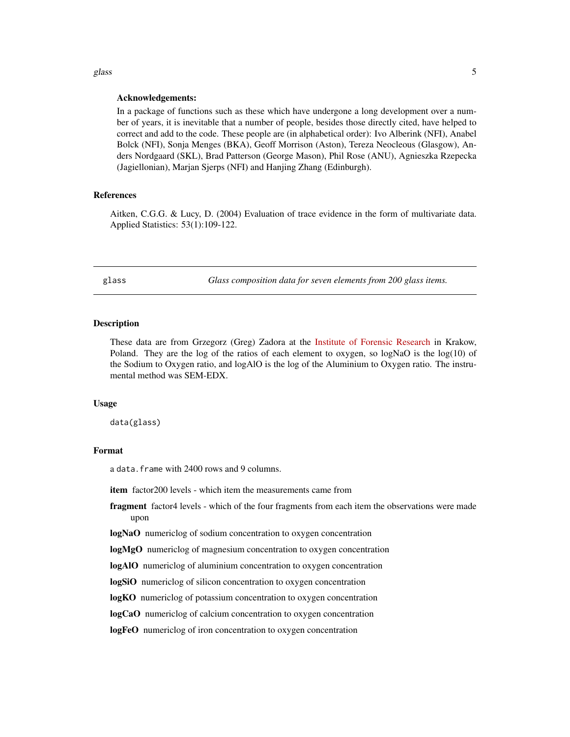#### Acknowledgements:

In a package of functions such as these which have undergone a long development over a number of years, it is inevitable that a number of people, besides those directly cited, have helped to correct and add to the code. These people are (in alphabetical order): Ivo Alberink (NFI), Anabel Bolck (NFI), Sonja Menges (BKA), Geoff Morrison (Aston), Tereza Neocleous (Glasgow), Anders Nordgaard (SKL), Brad Patterson (George Mason), Phil Rose (ANU), Agnieszka Rzepecka (Jagiellonian), Marjan Sjerps (NFI) and Hanjing Zhang (Edinburgh).

#### References

Aitken, C.G.G. & Lucy, D. (2004) Evaluation of trace evidence in the form of multivariate data. Applied Statistics: 53(1):109-122.

glass *Glass composition data for seven elements from 200 glass items.*

#### **Description**

These data are from Grzegorz (Greg) Zadora at the [Institute of Forensic Research](http://ies.krakow.pl/) in Krakow, Poland. They are the log of the ratios of each element to oxygen, so logNaO is the log(10) of the Sodium to Oxygen ratio, and logAlO is the log of the Aluminium to Oxygen ratio. The instrumental method was SEM-EDX.

#### Usage

data(glass)

#### Format

a data.frame with 2400 rows and 9 columns.

item factor200 levels - which item the measurements came from

- fragment factor4 levels which of the four fragments from each item the observations were made upon
- logNaO numericlog of sodium concentration to oxygen concentration

logMgO numericlog of magnesium concentration to oxygen concentration

logAlO numericlog of aluminium concentration to oxygen concentration

logSiO numericlog of silicon concentration to oxygen concentration

logKO numericlog of potassium concentration to oxygen concentration

logCaO numericlog of calcium concentration to oxygen concentration

logFeO numericlog of iron concentration to oxygen concentration

<span id="page-4-0"></span>glass  $\sim$  5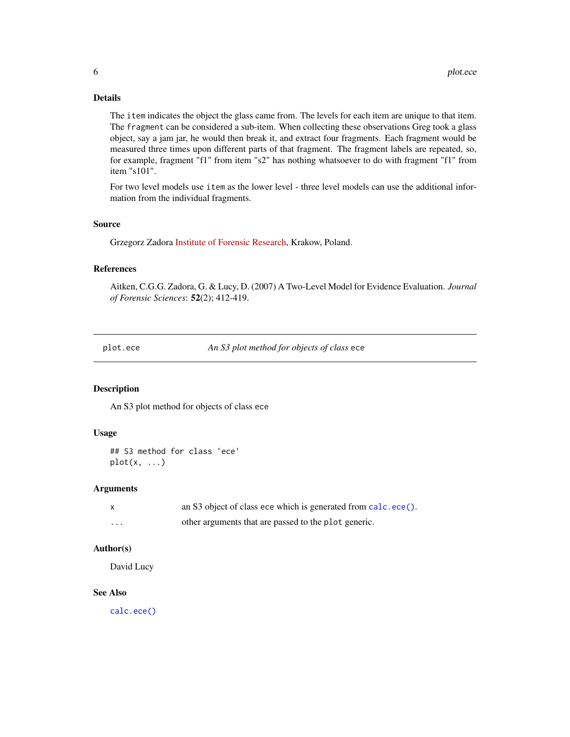#### <span id="page-5-0"></span>Details

The item indicates the object the glass came from. The levels for each item are unique to that item. The fragment can be considered a sub-item. When collecting these observations Greg took a glass object, say a jam jar, he would then break it, and extract four fragments. Each fragment would be measured three times upon different parts of that fragment. The fragment labels are repeated, so, for example, fragment "f1" from item "s2" has nothing whatsoever to do with fragment "f1" from item "s101".

For two level models use item as the lower level - three level models can use the additional information from the individual fragments.

#### Source

Grzegorz Zadora [Institute of Forensic Research,](http://ies.krakow.pl/) Krakow, Poland.

#### References

Aitken, C.G.G. Zadora, G. & Lucy, D. (2007) A Two-Level Model for Evidence Evaluation. *Journal of Forensic Sciences*: 52(2); 412-419.

plot.ece *An S3 plot method for objects of class* ece

#### Description

An S3 plot method for objects of class ece

#### Usage

```
## S3 method for class 'ece'
plot(x, \ldots)
```
#### **Arguments**

|   | an S3 object of class ece which is generated from calc.ece(). |
|---|---------------------------------------------------------------|
| . | other arguments that are passed to the plot generic.          |

#### Author(s)

David Lucy

#### See Also

[calc.ece\(\)](#page-1-1)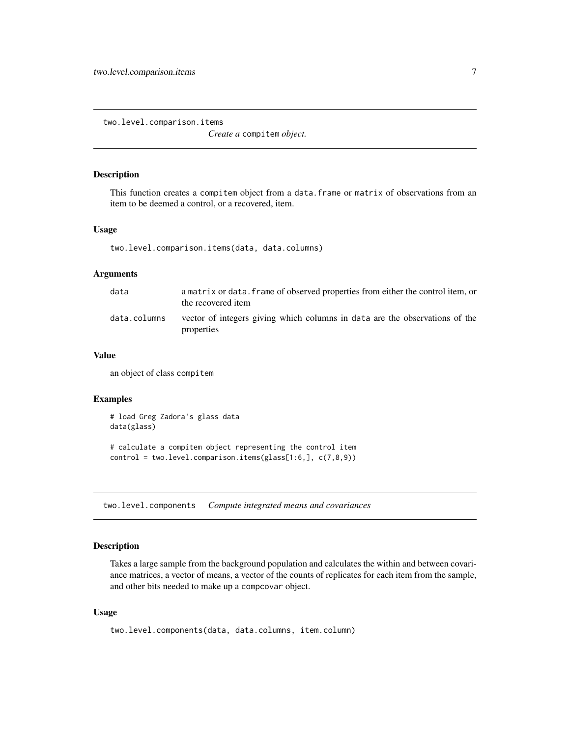<span id="page-6-0"></span>two.level.comparison.items

*Create a* compitem *object.*

#### Description

This function creates a compitem object from a data.frame or matrix of observations from an item to be deemed a control, or a recovered, item.

#### Usage

two.level.comparison.items(data, data.columns)

#### Arguments

| data         | a matrix or data. frame of observed properties from either the control item, or<br>the recovered item |
|--------------|-------------------------------------------------------------------------------------------------------|
| data.columns | vector of integers giving which columns in data are the observations of the<br>properties             |

#### Value

an object of class compitem

#### Examples

```
# load Greg Zadora's glass data
data(glass)
# calculate a compitem object representing the control item
```
control = two.level.comparison.items(glass[1:6,], c(7,8,9))

two.level.components *Compute integrated means and covariances*

#### Description

Takes a large sample from the background population and calculates the within and between covariance matrices, a vector of means, a vector of the counts of replicates for each item from the sample, and other bits needed to make up a compcovar object.

#### Usage

```
two.level.components(data, data.columns, item.column)
```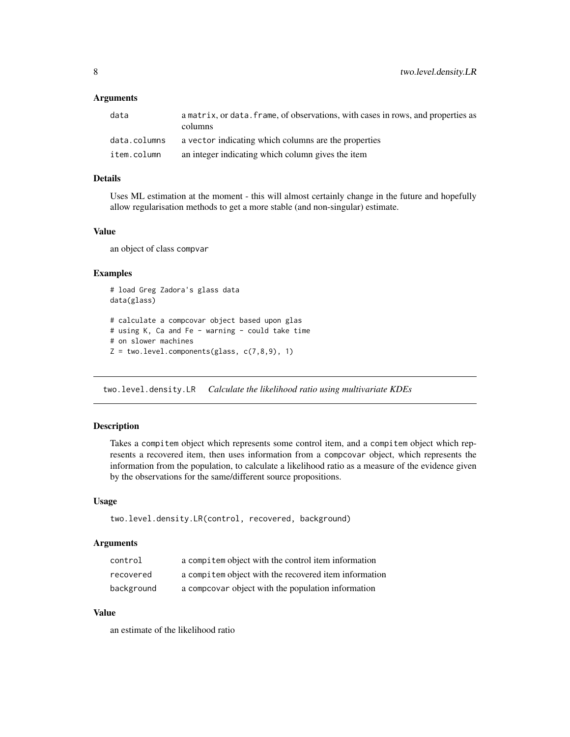#### <span id="page-7-0"></span>**Arguments**

| data         | a matrix, or data. frame, of observations, with cases in rows, and properties as<br>columns |
|--------------|---------------------------------------------------------------------------------------------|
| data.columns | a vector indicating which columns are the properties                                        |
| item.column  | an integer indicating which column gives the item                                           |

#### Details

Uses ML estimation at the moment - this will almost certainly change in the future and hopefully allow regularisation methods to get a more stable (and non-singular) estimate.

#### Value

an object of class compvar

#### Examples

```
# load Greg Zadora's glass data
data(glass)
# calculate a compcovar object based upon glas
# using K, Ca and Fe - warning - could take time
# on slower machines
Z = two<math>i.evel.components(glass, c(7,8,9), 1)
```
two.level.density.LR *Calculate the likelihood ratio using multivariate KDEs*

#### Description

Takes a compitem object which represents some control item, and a compitem object which represents a recovered item, then uses information from a compcovar object, which represents the information from the population, to calculate a likelihood ratio as a measure of the evidence given by the observations for the same/different source propositions.

#### Usage

```
two.level.density.LR(control, recovered, background)
```
#### Arguments

| control    | a compitem object with the control item information   |
|------------|-------------------------------------------------------|
| recovered  | a compitem object with the recovered item information |
| background | a compcovar object with the population information    |

#### Value

an estimate of the likelihood ratio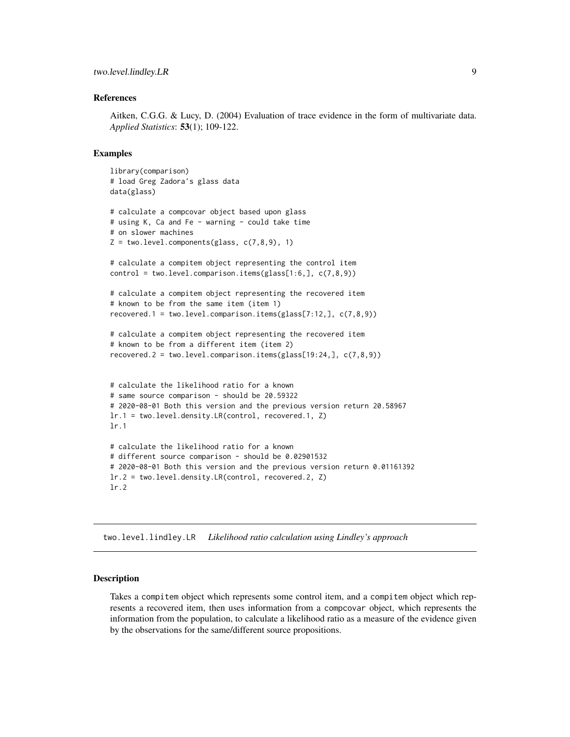#### <span id="page-8-0"></span>References

Aitken, C.G.G. & Lucy, D. (2004) Evaluation of trace evidence in the form of multivariate data. *Applied Statistics*: 53(1); 109-122.

#### Examples

```
library(comparison)
# load Greg Zadora's glass data
data(glass)
# calculate a compcovar object based upon glass
# using K, Ca and Fe - warning - could take time
# on slower machines
Z = two<math>P.components(glass, c(7,8,9), 1)
# calculate a compitem object representing the control item
control = two.level.comparison.items(glass[1:6,], c(7,8,9))
# calculate a compitem object representing the recovered item
# known to be from the same item (item 1)
recovered.1 = two.level.comparison.items(glass[7:12,], c(7,8,9))
# calculate a compitem object representing the recovered item
# known to be from a different item (item 2)
recovered.2 = two.level.comparison.items(glass[19:24,],c(7,8,9))
# calculate the likelihood ratio for a known
# same source comparison - should be 20.59322
# 2020-08-01 Both this version and the previous version return 20.58967
lr.1 = two.level.density.LR(control, recovered.1, Z)
lr.1
# calculate the likelihood ratio for a known
# different source comparison - should be 0.02901532
# 2020-08-01 Both this version and the previous version return 0.01161392
lr.2 = two.level.density.LR(control, recovered.2, Z)
lr.2
```
two.level.lindley.LR *Likelihood ratio calculation using Lindley's approach*

#### Description

Takes a compitem object which represents some control item, and a compitem object which represents a recovered item, then uses information from a compcovar object, which represents the information from the population, to calculate a likelihood ratio as a measure of the evidence given by the observations for the same/different source propositions.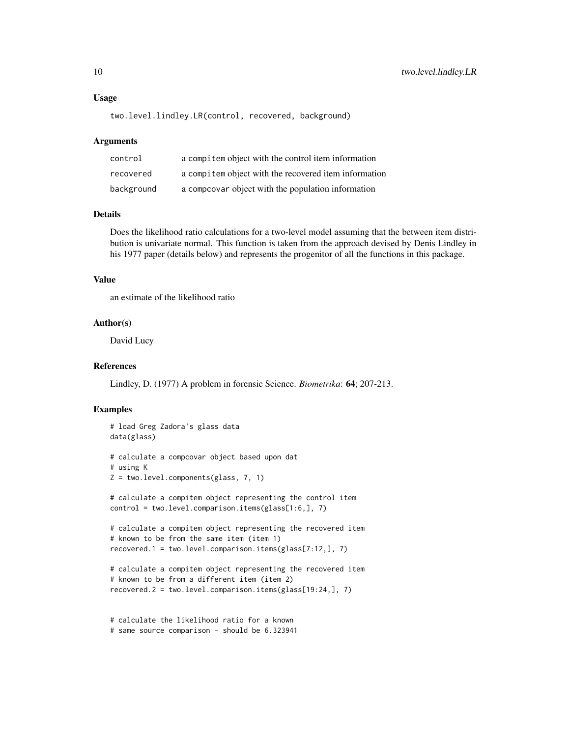#### Usage

```
two.level.lindley.LR(control, recovered, background)
```
#### **Arguments**

| control    | a compitem object with the control item information   |
|------------|-------------------------------------------------------|
| recovered  | a compitem object with the recovered item information |
| background | a compoovar object with the population information    |

#### Details

Does the likelihood ratio calculations for a two-level model assuming that the between item distribution is univariate normal. This function is taken from the approach devised by Denis Lindley in his 1977 paper (details below) and represents the progenitor of all the functions in this package.

#### Value

an estimate of the likelihood ratio

#### Author(s)

David Lucy

#### References

Lindley, D. (1977) A problem in forensic Science. *Biometrika*: 64; 207-213.

#### Examples

```
# load Greg Zadora's glass data
data(glass)
# calculate a compcovar object based upon dat
# using K
Z = two.level.components(glass, 7, 1)
# calculate a compitem object representing the control item
control = two.level.comparison.items(glass[1:6,], 7)
# calculate a compitem object representing the recovered item
# known to be from the same item (item 1)
recovered.1 = two.level.comparison.items(glass[7:12,], 7)
# calculate a compitem object representing the recovered item
# known to be from a different item (item 2)
recovered.2 = two.level.comparison.items(glass[19:24,], 7)
```
# calculate the likelihood ratio for a known # same source comparison - should be 6.323941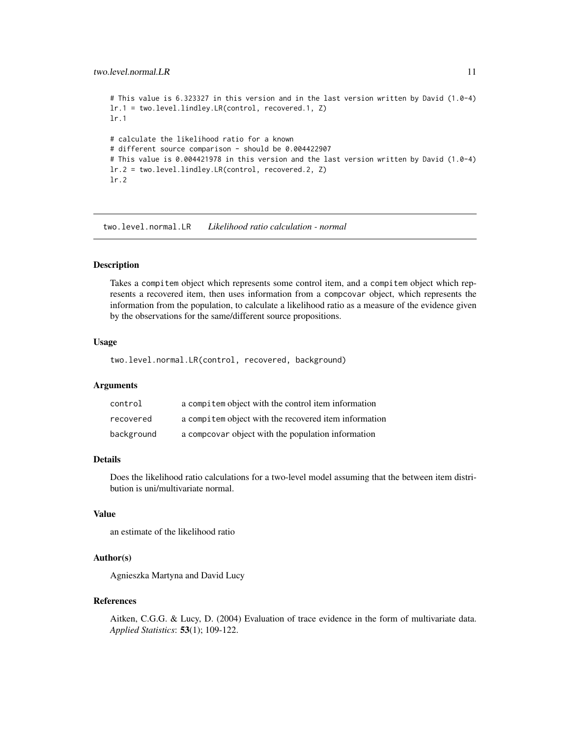```
# This value is 6.323327 in this version and in the last version written by David (1.0-4)
lr.1 = two.level.lindley.LR(control, recovered.1, Z)
lr.1
# calculate the likelihood ratio for a known
# different source comparison - should be 0.004422907
# This value is 0.004421978 in this version and the last version written by David (1.0-4)
lr.2 = two.level.lindley.LR(control, recovered.2, Z)
lr.2
```
two.level.normal.LR *Likelihood ratio calculation - normal*

#### Description

Takes a compitem object which represents some control item, and a compitem object which represents a recovered item, then uses information from a compcovar object, which represents the information from the population, to calculate a likelihood ratio as a measure of the evidence given by the observations for the same/different source propositions.

#### Usage

two.level.normal.LR(control, recovered, background)

#### Arguments

| control    | a compitem object with the control item information   |
|------------|-------------------------------------------------------|
| recovered  | a compitem object with the recovered item information |
| background | a compoovar object with the population information    |

#### Details

Does the likelihood ratio calculations for a two-level model assuming that the between item distribution is uni/multivariate normal.

#### Value

an estimate of the likelihood ratio

#### Author(s)

Agnieszka Martyna and David Lucy

#### References

Aitken, C.G.G. & Lucy, D. (2004) Evaluation of trace evidence in the form of multivariate data. *Applied Statistics*: 53(1); 109-122.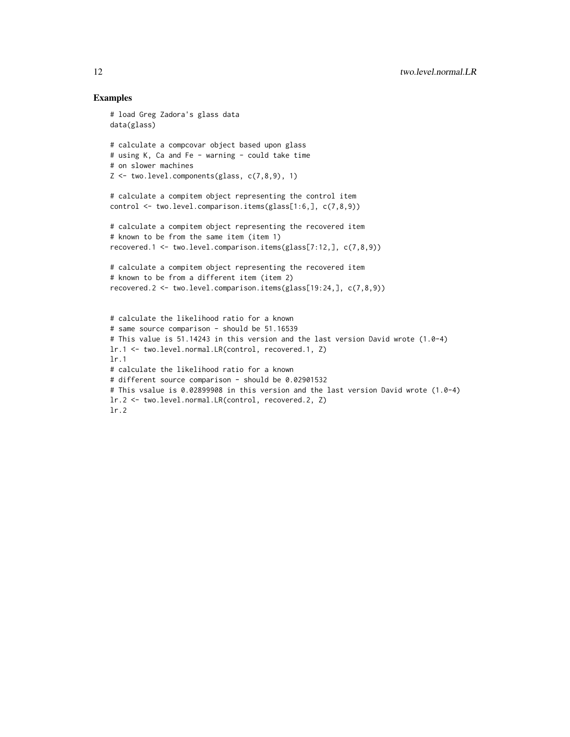#### Examples

```
# load Greg Zadora's glass data
data(glass)
# calculate a compcovar object based upon glass
# using K, Ca and Fe - warning - could take time
# on slower machines
Z \leq two.level.components(glass, c(7,8,9), 1)
# calculate a compitem object representing the control item
control <- two.level.comparison.items(glass[1:6,], c(7,8,9))
# calculate a compitem object representing the recovered item
# known to be from the same item (item 1)
recovered.1 <- two.level.comparison.items(glass[7:12,], c(7,8,9))
# calculate a compitem object representing the recovered item
# known to be from a different item (item 2)
recovered.2 <- two.level.comparison.items(glass[19:24,], c(7,8,9))
# calculate the likelihood ratio for a known
# same source comparison - should be 51.16539
# This value is 51.14243 in this version and the last version David wrote (1.0-4)
lr.1 <- two.level.normal.LR(control, recovered.1, Z)
lr.1
# calculate the likelihood ratio for a known
# different source comparison - should be 0.02901532
# This vsalue is 0.02899908 in this version and the last version David wrote (1.0-4)
lr.2 <- two.level.normal.LR(control, recovered.2, Z)
lr.2
```